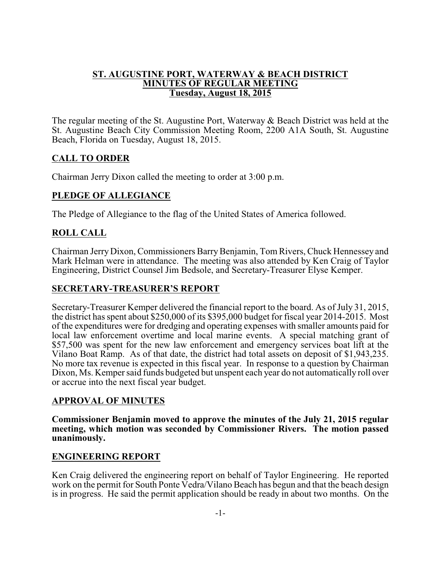# **ST. AUGUSTINE PORT, WATERWAY & BEACH DISTRICT MINUTES OF REGULAR MEETING Tuesday, August 18, 2015**

The regular meeting of the St. Augustine Port, Waterway & Beach District was held at the St. Augustine Beach City Commission Meeting Room, 2200 A1A South, St. Augustine Beach, Florida on Tuesday, August 18, 2015.

# **CALL TO ORDER**

Chairman Jerry Dixon called the meeting to order at 3:00 p.m.

# **PLEDGE OF ALLEGIANCE**

The Pledge of Allegiance to the flag of the United States of America followed.

# **ROLL CALL**

Chairman Jerry Dixon, Commissioners BarryBenjamin, Tom Rivers, Chuck Hennessey and Mark Helman were in attendance. The meeting was also attended by Ken Craig of Taylor Engineering, District Counsel Jim Bedsole, and Secretary-Treasurer Elyse Kemper.

### **SECRETARY-TREASURER'S REPORT**

Secretary-Treasurer Kemper delivered the financial report to the board. As of July 31, 2015, the district has spent about \$250,000 of its \$395,000 budget for fiscal year 2014-2015. Most of the expenditures were for dredging and operating expenses with smaller amounts paid for local law enforcement overtime and local marine events. A special matching grant of \$57,500 was spent for the new law enforcement and emergency services boat lift at the Vilano Boat Ramp. As of that date, the district had total assets on deposit of \$1,943,235. No more tax revenue is expected in this fiscal year. In response to a question by Chairman Dixon, Ms. Kemper said funds budgeted but unspent each year do not automatically roll over or accrue into the next fiscal year budget.

#### **APPROVAL OF MINUTES**

**Commissioner Benjamin moved to approve the minutes of the July 21, 2015 regular meeting, which motion was seconded by Commissioner Rivers. The motion passed unanimously.**

#### **ENGINEERING REPORT**

Ken Craig delivered the engineering report on behalf of Taylor Engineering. He reported work on the permit for South Ponte Vedra/Vilano Beach has begun and that the beach design is in progress. He said the permit application should be ready in about two months. On the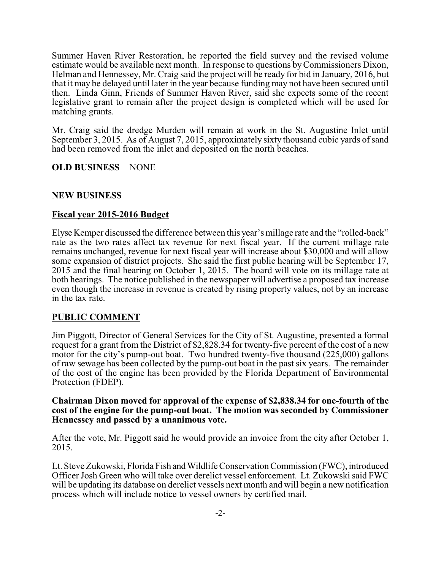Summer Haven River Restoration, he reported the field survey and the revised volume estimate would be available next month. In response to questions byCommissioners Dixon, Helman and Hennessey, Mr. Craig said the project will be ready for bid in January, 2016, but that it may be delayed until later in the year because funding may not have been secured until then. Linda Ginn, Friends of Summer Haven River, said she expects some of the recent legislative grant to remain after the project design is completed which will be used for matching grants.

Mr. Craig said the dredge Murden will remain at work in the St. Augustine Inlet until September 3, 2015. As of August 7, 2015, approximately sixty thousand cubic yards of sand had been removed from the inlet and deposited on the north beaches.

# **OLD BUSINESS** NONE

# **NEW BUSINESS**

#### **Fiscal year 2015-2016 Budget**

Elyse Kemper discussed the difference between this year's millage rate and the "rolled-back" rate as the two rates affect tax revenue for next fiscal year. If the current millage rate remains unchanged, revenue for next fiscal year will increase about \$30,000 and will allow some expansion of district projects. She said the first public hearing will be September 17, 2015 and the final hearing on October 1, 2015. The board will vote on its millage rate at both hearings. The notice published in the newspaper will advertise a proposed tax increase even though the increase in revenue is created by rising property values, not by an increase in the tax rate.

#### **PUBLIC COMMENT**

Jim Piggott, Director of General Services for the City of St. Augustine, presented a formal request for a grant from the District of \$2,828.34 for twenty-five percent of the cost of a new motor for the city's pump-out boat. Two hundred twenty-five thousand (225,000) gallons of raw sewage has been collected by the pump-out boat in the past six years. The remainder of the cost of the engine has been provided by the Florida Department of Environmental Protection (FDEP).

#### **Chairman Dixon moved for approval of the expense of \$2,838.34 for one-fourth of the cost of the engine for the pump-out boat. The motion was seconded by Commissioner Hennessey and passed by a unanimous vote.**

After the vote, Mr. Piggott said he would provide an invoice from the city after October 1, 2015.

Lt. Steve Zukowski, Florida Fish andWildlife Conservation Commission (FWC), introduced Officer Josh Green who will take over derelict vessel enforcement. Lt. Zukowski said FWC will be updating its database on derelict vessels next month and will begin a new notification process which will include notice to vessel owners by certified mail.